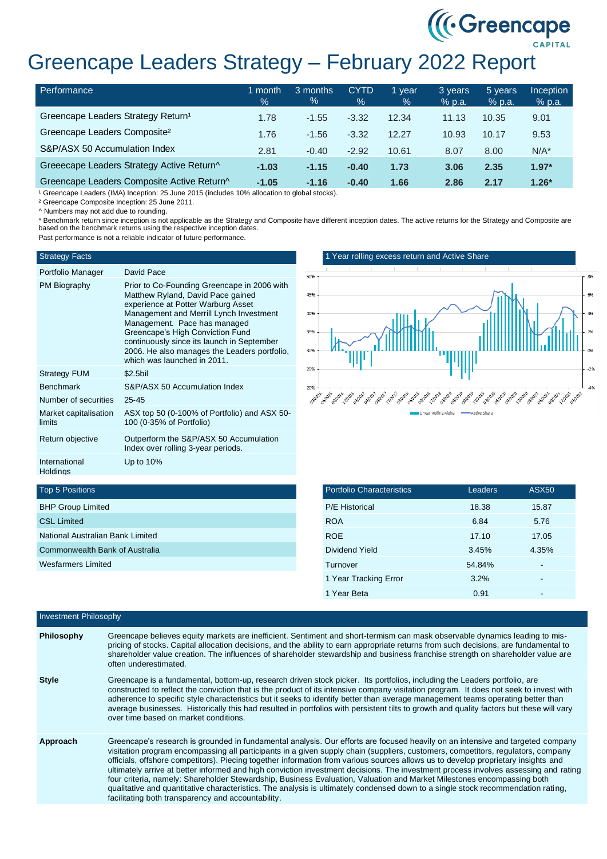# Greencape Leaders Strategy – February 2022 Report

| Performance                                    | month<br>$\%$ | 3 months<br>% | <b>CYTD</b><br>$\%$ | 1 vear<br>% | 3 years<br>% p.a. | 5 years<br>% p.a. | <b>Inception</b><br>% p.a. |
|------------------------------------------------|---------------|---------------|---------------------|-------------|-------------------|-------------------|----------------------------|
| Greencape Leaders Strategy Return <sup>1</sup> | 1.78          | $-1.55$       | $-3.32$             | 12.34       | 11.13             | 10.35             | 9.01                       |
| Greencape Leaders Composite <sup>2</sup>       | 1.76          | $-1.56$       | $-3.32$             | 12.27       | 10.93             | 10.17             | 9.53                       |
| S&P/ASX 50 Accumulation Index                  | 2.81          | $-0.40$       | $-2.92$             | 10.61       | 8.07              | 8.00              | $N/A^*$                    |
| Greeecape Leaders Strategy Active Return^      | $-1.03$       | $-1.15$       | $-0.40$             | 1.73        | 3.06              | 2.35              | $1.97*$                    |
| Greencape Leaders Composite Active Return^     | $-1.05$       | $-1.16$       | $-0.40$             | 1.66        | 2.86              | 2.17              | $1.26*$                    |

<sup>1</sup> Greencape Leaders (IMA) Inception: 25 June 2015 (includes 10% allocation to global stocks).

² Greencape Composite Inception: 25 June 2011.

^ Numbers may not add due to rounding.

\* Benchmark return since inception is not applicable as the Strategy and Composite have different inception dates. The active returns for the Strategy and Composite are based on the benchmark returns using the respective inception dates.

Past performance is not a reliable indicator of future performance.

### Strategy Facts

| Portfolio Manager               | David Pace                                                                                                                                                                                                                                                                                                                                                         |
|---------------------------------|--------------------------------------------------------------------------------------------------------------------------------------------------------------------------------------------------------------------------------------------------------------------------------------------------------------------------------------------------------------------|
|                                 |                                                                                                                                                                                                                                                                                                                                                                    |
| PM Biography                    | Prior to Co-Founding Greencape in 2006 with<br>Matthew Ryland, David Pace gained<br>experience at Potter Warburg Asset<br>Management and Merrill Lynch Investment<br>Management. Pace has managed<br>Greencape's High Conviction Fund<br>continuously since its launch in September<br>2006. He also manages the Leaders portfolio.<br>which was launched in 2011. |
| <b>Strategy FUM</b>             | \$2.5bil                                                                                                                                                                                                                                                                                                                                                           |
| <b>Benchmark</b>                | S&P/ASX 50 Accumulation Index                                                                                                                                                                                                                                                                                                                                      |
| Number of securities            | $25 - 45$                                                                                                                                                                                                                                                                                                                                                          |
| Market capitalisation<br>limits | ASX top 50 (0-100% of Portfolio) and ASX 50-<br>100 (0-35% of Portfolio)                                                                                                                                                                                                                                                                                           |
| Return objective                | Outperform the S&P/ASX 50 Accumulation                                                                                                                                                                                                                                                                                                                             |

Up to 10%

1 Year rolling excess return and Active Share



((Creencape)

# Top 5 Positions

International **Holdings** 

| <b>BHP Group Limited</b>         |
|----------------------------------|
| <b>CSL Limited</b>               |
| National Australian Bank Limited |
| Commonwealth Bank of Australia   |
| Wesfarmers Limited               |
|                                  |

Index over rolling 3-year periods.

| <b>Portfolio Characteristics</b> | Leaders | <b>ASX50</b> |
|----------------------------------|---------|--------------|
| <b>P/E Historical</b>            | 18.38   | 15.87        |
| <b>ROA</b>                       | 6.84    | 5.76         |
| <b>ROE</b>                       | 17.10   | 17.05        |
| Dividend Yield                   | 3.45%   | 4.35%        |
| Turnover                         | 54.84%  |              |
| 1 Year Tracking Error            | 3.2%    | -            |
| 1 Year Beta                      | 0.91    |              |

| Investment Philosophy |                                                                                                                                                                                                                                                                                                                                                                                                                                                                                                                                                                                                                                                                                                                                                                                                                                                                    |  |  |
|-----------------------|--------------------------------------------------------------------------------------------------------------------------------------------------------------------------------------------------------------------------------------------------------------------------------------------------------------------------------------------------------------------------------------------------------------------------------------------------------------------------------------------------------------------------------------------------------------------------------------------------------------------------------------------------------------------------------------------------------------------------------------------------------------------------------------------------------------------------------------------------------------------|--|--|
| <b>Philosophy</b>     | Greencape believes equity markets are inefficient. Sentiment and short-termism can mask observable dynamics leading to mis-<br>pricing of stocks. Capital allocation decisions, and the ability to earn appropriate returns from such decisions, are fundamental to<br>shareholder value creation. The influences of shareholder stewardship and business franchise strength on shareholder value are<br>often underestimated.                                                                                                                                                                                                                                                                                                                                                                                                                                     |  |  |
| <b>Style</b>          | Greencape is a fundamental, bottom-up, research driven stock picker. Its portfolios, including the Leaders portfolio, are<br>constructed to reflect the conviction that is the product of its intensive company visitation program. It does not seek to invest with<br>adherence to specific style characteristics but it seeks to identify better than average management teams operating better than<br>average businesses. Historically this had resulted in portfolios with persistent tilts to growth and quality factors but these will vary<br>over time based on market conditions.                                                                                                                                                                                                                                                                        |  |  |
| Approach              | Greencape's research is grounded in fundamental analysis. Our efforts are focused heavily on an intensive and targeted company<br>visitation program encompassing all participants in a given supply chain (suppliers, customers, competitors, regulators, company<br>officials, offshore competitors). Piecing together information from various sources allows us to develop proprietary insights and<br>ultimately arrive at better informed and high conviction investment decisions. The investment process involves assessing and rating<br>four criteria, namely: Shareholder Stewardship, Business Evaluation, Valuation and Market Milestones encompassing both<br>qualitative and quantitative characteristics. The analysis is ultimately condensed down to a single stock recommendation rating,<br>facilitating both transparency and accountability. |  |  |